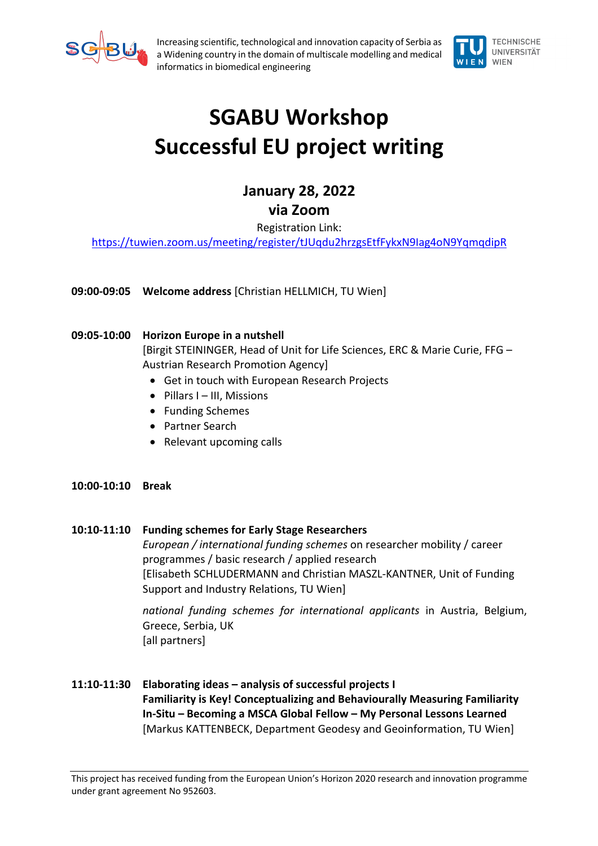

Increasing scientific, technological and innovation capacity of Serbia as a Widening country in the domain of multiscale modelling and medical informatics in biomedical engineering



## **SGABU Workshop Successful EU project writing**

## **January 28, 2022**

**via Zoom**

Registration Link:

https://tuwien.zoom.us/meeting/register/tJUqdu2hrzgsEtfFykxN9Iag4oN9YqmqdipR

**09:00-09:05 Welcome address** [Christian HELLMICH, TU Wien]

## **09:05-10:00 Horizon Europe in a nutshell**

[Birgit STEININGER, Head of Unit for Life Sciences, ERC & Marie Curie, FFG – Austrian Research Promotion Agency]

- Get in touch with European Research Projects
- Pillars I III, Missions
- Funding Schemes
- Partner Search
- Relevant upcoming calls
- **10:00-10:10 Break**

## **10:10-11:10 Funding schemes for Early Stage Researchers**

*European / international funding schemes* on researcher mobility / career programmes / basic research / applied research [Elisabeth SCHLUDERMANN and Christian MASZL-KANTNER, Unit of Funding Support and Industry Relations, TU Wien]

*national funding schemes for international applicants* in Austria, Belgium, Greece, Serbia, UK [all partners]

- 
- **11:10-11:30 Elaborating ideas – analysis of successful projects I Familiarity is Key! Conceptualizing and Behaviourally Measuring Familiarity In-Situ – Becoming a MSCA Global Fellow – My Personal Lessons Learned** [Markus KATTENBECK, Department Geodesy and Geoinformation, TU Wien]